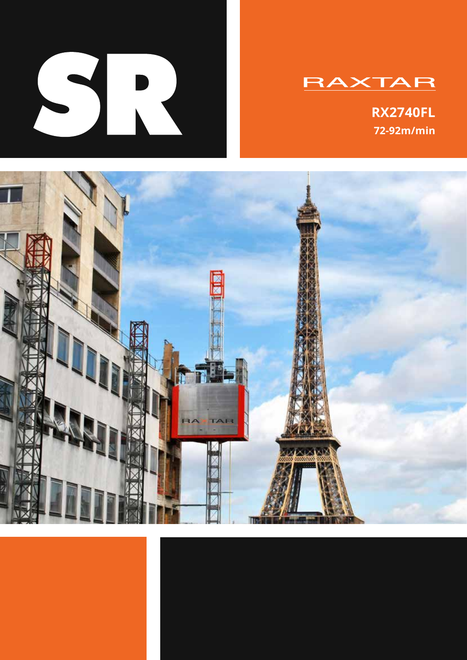

# **RAXTAR**

**RX2740FL 72-92m/min**

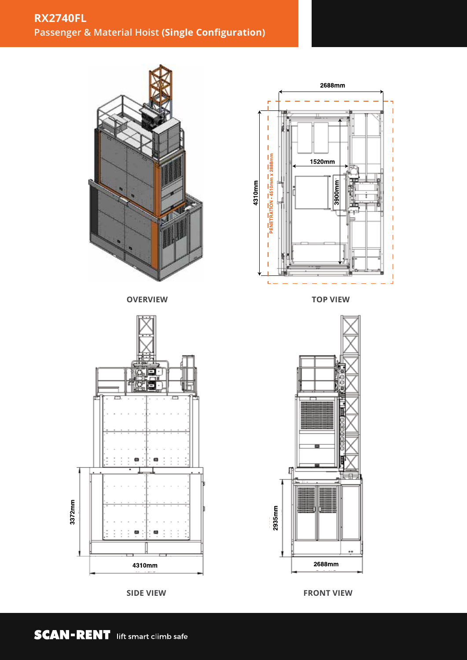

**SIDE VIEW**



**TOP VIEW**



**FRONT VIEW**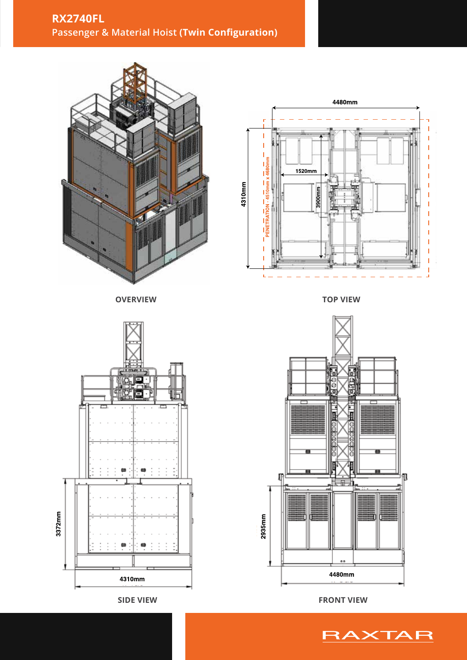











**RX2740FL**